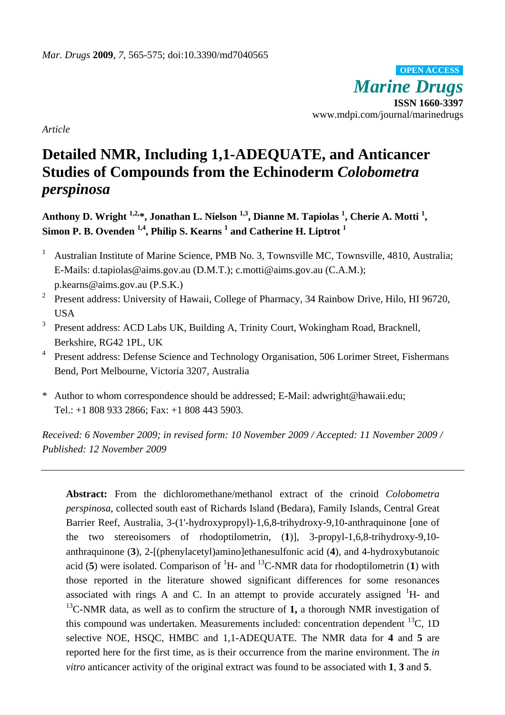*Marine Drugs* **ISSN 1660-3397**  www.mdpi.com/journal/marinedrugs **OPEN ACCESS**

*Article* 

# **Detailed NMR, Including 1,1-ADEQUATE, and Anticancer Studies of Compounds from the Echinoderm** *Colobometra perspinosa*

Anthony D. Wright <sup>1,2,\*</sup>, Jonathan L. Nielson <sup>1,3</sup>, Dianne M. Tapiolas <sup>1</sup>, Cherie A. Motti <sup>1</sup>, **Simon P. B. Ovenden 1,4, Philip S. Kearns 1 and Catherine H. Liptrot <sup>1</sup>**

- 1 Australian Institute of Marine Science, PMB No. 3, Townsville MC, Townsville, 4810, Australia; E-Mails: d.tapiolas@aims.gov.au (D.M.T.); c.motti@aims.gov.au (C.A.M.); p.kearns@aims.gov.au (P.S.K.)
- 2 Present address: University of Hawaii, College of Pharmacy, 34 Rainbow Drive, Hilo, HI 96720, USA
- 3 Present address: ACD Labs UK, Building A, Trinity Court, Wokingham Road, Bracknell, Berkshire, RG42 1PL, UK
- <sup>4</sup> Present address: Defense Science and Technology Organisation, 506 Lorimer Street, Fishermans Bend, Port Melbourne, Victoria 3207, Australia
- \* Author to whom correspondence should be addressed; E-Mail: adwright@hawaii.edu; Tel.: +1 808 933 2866; Fax: +1 808 443 5903.

*Received: 6 November 2009; in revised form: 10 November 2009 / Accepted: 11 November 2009 / Published: 12 November 2009* 

**Abstract:** From the dichloromethane/methanol extract of the crinoid *Colobometra perspinosa*, collected south east of Richards Island (Bedara), Family Islands, Central Great Barrier Reef, Australia, 3-(1'-hydroxypropyl)-1,6,8-trihydroxy-9,10-anthraquinone [one of the two stereoisomers of rhodoptilometrin, (**1**)], 3-propyl-1,6,8-trihydroxy-9,10 anthraquinone (**3**), 2-[(phenylacetyl)amino]ethanesulfonic acid (**4**), and 4-hydroxybutanoic acid (5) were isolated. Comparison of  ${}^{1}H$ - and  ${}^{13}C$ -NMR data for rhodoptilometrin (1) with those reported in the literature showed significant differences for some resonances associated with rings A and C. In an attempt to provide accurately assigned  ${}^{1}H$ - and 13C-NMR data, as well as to confirm the structure of **1,** a thorough NMR investigation of this compound was undertaken. Measurements included: concentration dependent  ${}^{13}C$ , 1D selective NOE, HSQC, HMBC and 1,1-ADEQUATE. The NMR data for **4** and **5** are reported here for the first time, as is their occurrence from the marine environment. The *in vitro* anticancer activity of the original extract was found to be associated with **1**, **3** and **5**.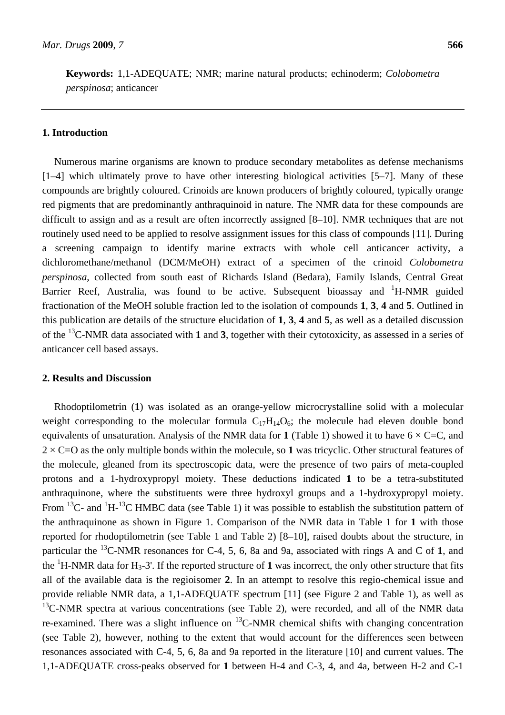**Keywords:** 1,1-ADEQUATE; NMR; marine natural products; echinoderm; *Colobometra perspinosa*; anticancer

## **1. Introduction**

Numerous marine organisms are known to produce secondary metabolites as defense mechanisms [1–4] which ultimately prove to have other interesting biological activities [5–7]. Many of these compounds are brightly coloured. Crinoids are known producers of brightly coloured, typically orange red pigments that are predominantly anthraquinoid in nature. The NMR data for these compounds are difficult to assign and as a result are often incorrectly assigned [8–10]. NMR techniques that are not routinely used need to be applied to resolve assignment issues for this class of compounds [11]. During a screening campaign to identify marine extracts with whole cell anticancer activity, a dichloromethane/methanol (DCM/MeOH) extract of a specimen of the crinoid *Colobometra perspinosa*, collected from south east of Richards Island (Bedara), Family Islands, Central Great Barrier Reef, Australia, was found to be active. Subsequent bioassay and <sup>1</sup>H-NMR guided fractionation of the MeOH soluble fraction led to the isolation of compounds **1**, **3**, **4** and **5**. Outlined in this publication are details of the structure elucidation of **1**, **3**, **4** and **5**, as well as a detailed discussion of the 13C-NMR data associated with **1** and **3**, together with their cytotoxicity, as assessed in a series of anticancer cell based assays.

## **2. Results and Discussion**

Rhodoptilometrin (**1**) was isolated as an orange-yellow microcrystalline solid with a molecular weight corresponding to the molecular formula  $C_{17}H_{14}O_6$ ; the molecule had eleven double bond equivalents of unsaturation. Analysis of the NMR data for 1 (Table 1) showed it to have  $6 \times C=C$ , and  $2 \times C=O$  as the only multiple bonds within the molecule, so 1 was tricyclic. Other structural features of the molecule, gleaned from its spectroscopic data, were the presence of two pairs of meta-coupled protons and a 1-hydroxypropyl moiety. These deductions indicated **1** to be a tetra-substituted anthraquinone, where the substituents were three hydroxyl groups and a 1-hydroxypropyl moiety. From <sup>13</sup>C- and <sup>1</sup>H-<sup>13</sup>C HMBC data (see Table 1) it was possible to establish the substitution pattern of the anthraquinone as shown in Figure 1. Comparison of the NMR data in Table 1 for **1** with those reported for rhodoptilometrin (see Table 1 and Table 2) [8–10], raised doubts about the structure, in particular the 13C-NMR resonances for C-4, 5, 6, 8a and 9a, associated with rings A and C of **1**, and the  ${}^{1}$ H-NMR data for H<sub>3</sub>-3'. If the reported structure of 1 was incorrect, the only other structure that fits all of the available data is the regioisomer **2**. In an attempt to resolve this regio-chemical issue and provide reliable NMR data, a 1,1-ADEQUATE spectrum [11] (see Figure 2 and Table 1), as well as  $^{13}$ C-NMR spectra at various concentrations (see Table 2), were recorded, and all of the NMR data re-examined. There was a slight influence on  $^{13}$ C-NMR chemical shifts with changing concentration (see Table 2), however, nothing to the extent that would account for the differences seen between resonances associated with C-4, 5, 6, 8a and 9a reported in the literature [10] and current values. The 1,1-ADEQUATE cross-peaks observed for **1** between H-4 and C-3, 4, and 4a, between H-2 and C-1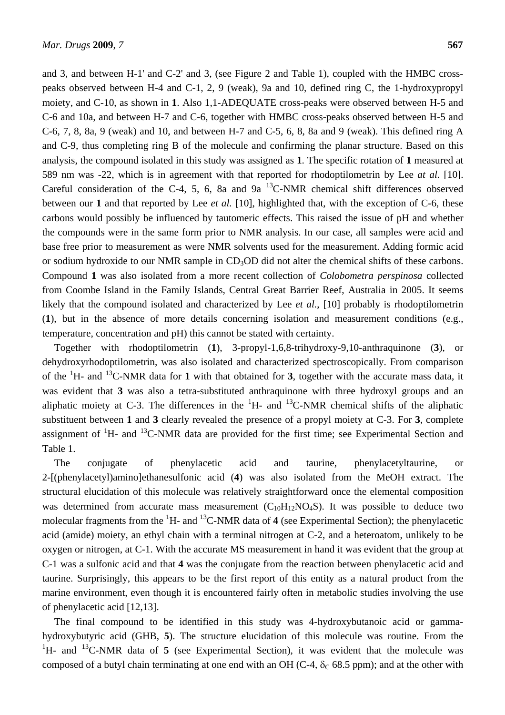and 3, and between H-1' and C-2' and 3, (see Figure 2 and Table 1), coupled with the HMBC crosspeaks observed between H-4 and C-1, 2, 9 (weak), 9a and 10, defined ring C, the 1-hydroxypropyl moiety, and C-10, as shown in **1**. Also 1,1-ADEQUATE cross-peaks were observed between H-5 and C-6 and 10a, and between H-7 and C-6, together with HMBC cross-peaks observed between H-5 and C-6, 7, 8, 8a, 9 (weak) and 10, and between H-7 and C-5, 6, 8, 8a and 9 (weak). This defined ring A and C-9, thus completing ring B of the molecule and confirming the planar structure. Based on this analysis, the compound isolated in this study was assigned as **1**. The specific rotation of **1** measured at 589 nm was -22, which is in agreement with that reported for rhodoptilometrin by Lee *at al.* [10]. Careful consideration of the C-4, 5, 6, 8a and 9a  $^{13}$ C-NMR chemical shift differences observed between our **1** and that reported by Lee *et al.* [10], highlighted that, with the exception of C-6, these carbons would possibly be influenced by tautomeric effects. This raised the issue of pH and whether the compounds were in the same form prior to NMR analysis. In our case, all samples were acid and base free prior to measurement as were NMR solvents used for the measurement. Adding formic acid or sodium hydroxide to our NMR sample in CD<sub>3</sub>OD did not alter the chemical shifts of these carbons. Compound **1** was also isolated from a more recent collection of *Colobometra perspinosa* collected from Coombe Island in the Family Islands, Central Great Barrier Reef, Australia in 2005. It seems likely that the compound isolated and characterized by Lee *et al.*, [10] probably is rhodoptilometrin (**1**), but in the absence of more details concerning isolation and measurement conditions (e.g., temperature, concentration and pH) this cannot be stated with certainty.

Together with rhodoptilometrin (**1**), 3-propyl-1,6,8-trihydroxy-9,10-anthraquinone (**3**), or dehydroxyrhodoptilometrin, was also isolated and characterized spectroscopically. From comparison of the <sup>1</sup> H- and 13C-NMR data for **1** with that obtained for **3**, together with the accurate mass data, it was evident that **3** was also a tetra-substituted anthraquinone with three hydroxyl groups and an aliphatic moiety at C-3. The differences in the  ${}^{1}H$ - and  ${}^{13}C$ -NMR chemical shifts of the aliphatic substituent between **1** and **3** clearly revealed the presence of a propyl moiety at C-3. For **3**, complete assignment of  ${}^{1}$ H- and  ${}^{13}$ C-NMR data are provided for the first time; see Experimental Section and Table 1.

The conjugate of phenylacetic acid and taurine, phenylacetyltaurine, or 2-[(phenylacetyl)amino]ethanesulfonic acid (**4**) was also isolated from the MeOH extract. The structural elucidation of this molecule was relatively straightforward once the elemental composition was determined from accurate mass measurement  $(C_{10}H_{12}NO_4S)$ . It was possible to deduce two molecular fragments from the <sup>1</sup>H- and <sup>13</sup>C-NMR data of **4** (see Experimental Section); the phenylacetic acid (amide) moiety, an ethyl chain with a terminal nitrogen at C-2, and a heteroatom, unlikely to be oxygen or nitrogen, at C-1. With the accurate MS measurement in hand it was evident that the group at C-1 was a sulfonic acid and that **4** was the conjugate from the reaction between phenylacetic acid and taurine. Surprisingly, this appears to be the first report of this entity as a natural product from the marine environment, even though it is encountered fairly often in metabolic studies involving the use of phenylacetic acid [12,13].

The final compound to be identified in this study was 4-hydroxybutanoic acid or gammahydroxybutyric acid (GHB, **5**). The structure elucidation of this molecule was routine. From the <sup>1</sup>H- and <sup>13</sup>C-NMR data of **5** (see Experimental Section), it was evident that the molecule was composed of a butyl chain terminating at one end with an OH (C-4,  $\delta$ <sub>C</sub> 68.5 ppm); and at the other with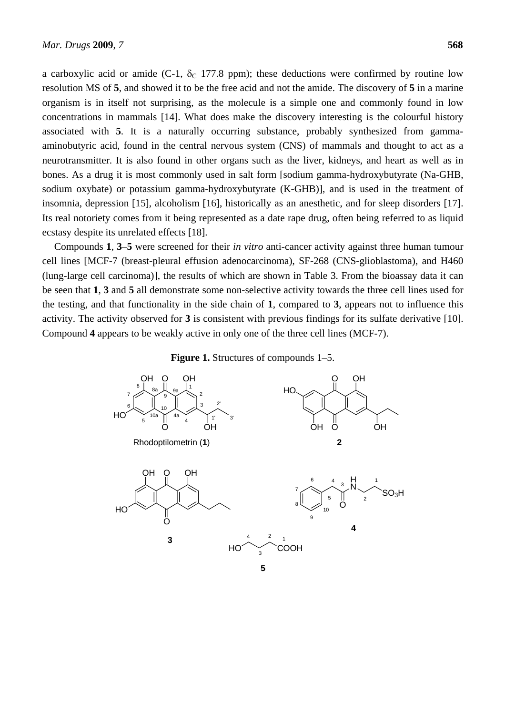a carboxylic acid or amide (C-1,  $\delta$ <sub>C</sub> 177.8 ppm); these deductions were confirmed by routine low resolution MS of **5**, and showed it to be the free acid and not the amide. The discovery of **5** in a marine organism is in itself not surprising, as the molecule is a simple one and commonly found in low concentrations in mammals [14]. What does make the discovery interesting is the colourful history associated with **5**. It is a naturally occurring substance, probably synthesized from gammaaminobutyric acid, found in the central nervous system (CNS) of mammals and thought to act as a neurotransmitter. It is also found in other organs such as the liver, kidneys, and heart as well as in bones. As a drug it is most commonly used in salt form [sodium gamma-hydroxybutyrate (Na-GHB, sodium oxybate) or potassium gamma-hydroxybutyrate (K-GHB)], and is used in the treatment of insomnia, depression [15], alcoholism [16], historically as an anesthetic, and for sleep disorders [17]. Its real notoriety comes from it being represented as a date rape drug, often being referred to as liquid ecstasy despite its unrelated effects [18].

Compounds **1**, **3**–**5** were screened for their *in vitro* anti-cancer activity against three human tumour cell lines [MCF-7 (breast-pleural effusion adenocarcinoma), SF-268 (CNS-glioblastoma), and H460 (lung-large cell carcinoma)], the results of which are shown in Table 3. From the bioassay data it can be seen that **1**, **3** and **5** all demonstrate some non-selective activity towards the three cell lines used for the testing, and that functionality in the side chain of **1**, compared to **3**, appears not to influence this activity. The activity observed for **3** is consistent with previous findings for its sulfate derivative [10]. Compound **4** appears to be weakly active in only one of the three cell lines (MCF-7).

#### **Figure 1.** Structures of compounds 1–5.

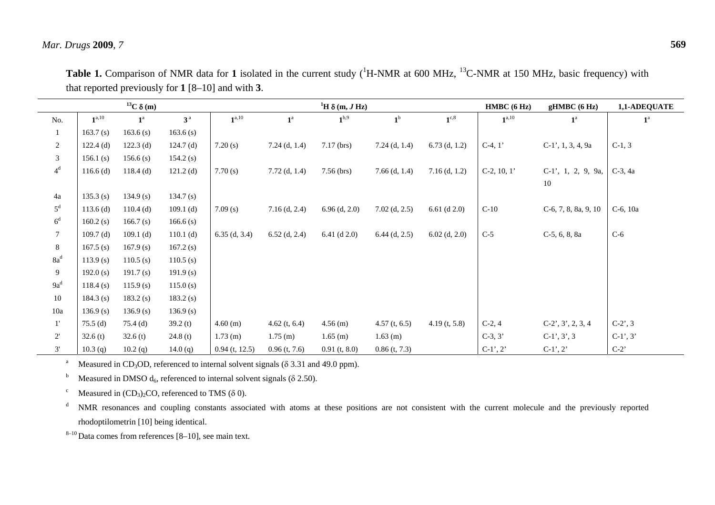| $^{13}C \delta(m)$ |             |             |                |                  | <sup>1</sup> H $\delta$ (m, J Hz) |                  |                 | HMBC(6 Hz)       | gHMBC(6 Hz)    | 1,1-ADEQUATE                |                   |
|--------------------|-------------|-------------|----------------|------------------|-----------------------------------|------------------|-----------------|------------------|----------------|-----------------------------|-------------------|
| No.                | $1^{a,10}$  | $1^a$       | 3 <sup>a</sup> | $1^{a,10}$       | $\boldsymbol{1}^{\text{a}}$       | 1 <sup>b,9</sup> | 1 <sup>b</sup>  | $1^{\text{c},8}$ | $1^{a,10}$     | $1^{\mathrm{a}}$            | $1^{\mathrm{a}}$  |
| $\mathbf{1}$       | 163.7(s)    | 163.6(s)    | 163.6(s)       |                  |                                   |                  |                 |                  |                |                             |                   |
| $\overline{2}$     | $122.4$ (d) | $122.3$ (d) | $124.7$ (d)    | 7.20(s)          | $7.24$ (d, 1.4)                   | $7.17$ (brs)     | $7.24$ (d, 1.4) | $6.73$ (d, 1.2)  | $C-4, 1'$      | $C-1'$ , 1, 3, 4, 9a        | $C-1, 3$          |
| $\mathfrak{Z}$     | 156.1(s)    | 156.6(s)    | 154.2(s)       |                  |                                   |                  |                 |                  |                |                             |                   |
| $4^d$              | $116.6$ (d) | $118.4$ (d) | $121.2$ (d)    | 7.70(s)          | $7.72$ (d, 1.4)                   | $7.56$ (brs)     | $7.66$ (d, 1.4) | $7.16$ (d, 1.2)  | $C-2$ , 10, 1' | $C-1$ ', 1, 2, 9, 9a,<br>10 | $C-3$ , 4a        |
| 4a                 | 135.3(s)    | 134.9(s)    | 134.7(s)       |                  |                                   |                  |                 |                  |                |                             |                   |
| $5^d$              | $113.6$ (d) | $110.4$ (d) | $109.1$ (d)    | 7.09(s)          | $7.16$ (d, 2.4)                   | $6.96$ (d, 2.0)  | $7.02$ (d, 2.5) | 6.61 (d $2.0$ )  | $C-10$         | $C-6, 7, 8, 8a, 9, 10$      | $C-6$ , 10a       |
| $6^d$              | 160.2(s)    | 166.7(s)    | 166.6(s)       |                  |                                   |                  |                 |                  |                |                             |                   |
| $\tau$             | 109.7(d)    | $109.1$ (d) | 110.1 $(d)$    | $6.35$ (d, 3.4)  | $6.52$ (d, 2.4)                   | 6.41 $(d 2.0)$   | $6.44$ (d, 2.5) | $6.02$ (d, 2.0)  | $C-5$          | $C-5, 6, 8, 8a$             | $C-6$             |
| $8\,$              | 167.5(s)    | 167.9(s)    | 167.2(s)       |                  |                                   |                  |                 |                  |                |                             |                   |
| $8a^d$             | 113.9(s)    | 110.5(s)    | 110.5(s)       |                  |                                   |                  |                 |                  |                |                             |                   |
| $\overline{9}$     | 192.0(s)    | 191.7(s)    | 191.9(s)       |                  |                                   |                  |                 |                  |                |                             |                   |
| $9a^d$             | 118.4(s)    | 115.9(s)    | 115.0(s)       |                  |                                   |                  |                 |                  |                |                             |                   |
| 10                 | 184.3 $(s)$ | 183.2(s)    | 183.2(s)       |                  |                                   |                  |                 |                  |                |                             |                   |
| 10a                | 136.9(s)    | 136.9(s)    | 136.9(s)       |                  |                                   |                  |                 |                  |                |                             |                   |
| $1^{\prime}$       | $75.5$ (d)  | 75.4 (d)    | 39.2(t)        | 4.60(m)          | $4.62$ (t, 6.4)                   | $4.56$ (m)       | $4.57$ (t, 6.5) | $4.19$ (t, 5.8)  | $C-2, 4$       | $C-2'$ , 3', 2, 3, 4        | $C-2^{\prime}, 3$ |
| $2^{\prime}$       | 32.6(t)     | 32.6(t)     | 24.8(t)        | $1.73$ (m)       | $1.75$ (m)                        | $1.65$ (m)       | $1.63$ (m)      |                  | $C-3, 3'$      | $C-1', 3', 3$               | $C-1', 3'$        |
| 3'                 | 10.3(q)     | 10.2(q)     | 14.0 $(q)$     | $0.94$ (t, 12.5) | $0.96$ (t, 7.6)                   | $0.91$ (t, 8.0)  | $0.86$ (t, 7.3) |                  | $C-1', 2'$     | $C-1', 2'$                  | $C-2$             |

**Table 1.** Comparison of NMR data for 1 isolated in the current study (<sup>1</sup>H-NMR at 600 MHz, <sup>13</sup>C-NMR at 150 MHz, basic frequency) with that reported previously for **1** [8–10] and with **3**.

<sup>a</sup> Measured in CD<sub>3</sub>OD, referenced to internal solvent signals ( $\delta$  3.31 and 49.0 ppm).

<sup>b</sup> Measured in DMSO  $d_6$ , referenced to internal solvent signals ( $\delta$  2.50).

<sup>c</sup> Measured in  $(CD_3)_2CO$ , referenced to TMS ( $\delta$  0).

<sup>d</sup> NMR resonances and coupling constants associated with atoms at these positions are not consistent with the current molecule and the previously reported rhodoptilometrin [10] being identical.

 $8-10$  Data comes from references [8-10], see main text.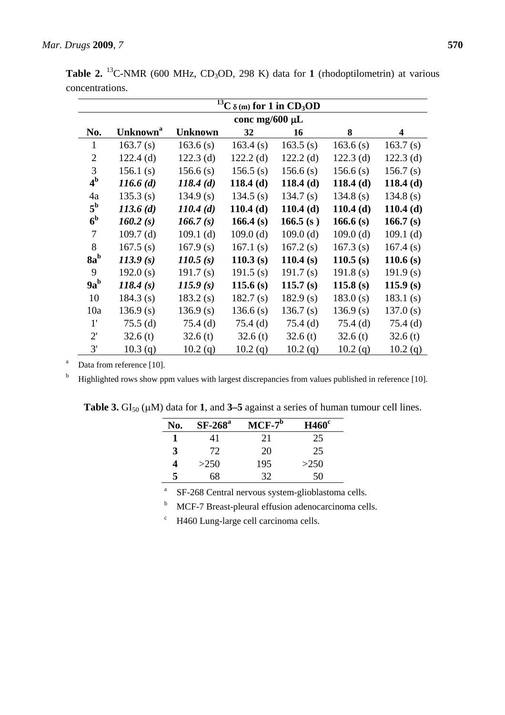|                |                             |                | $\overline{^{13}}C \delta(m)$ for 1 in CD <sub>3</sub> OD |             |             |             |  |
|----------------|-----------------------------|----------------|-----------------------------------------------------------|-------------|-------------|-------------|--|
|                | conc mg/600 $\mu$ L         |                |                                                           |             |             |             |  |
| No.            | <b>Unknown</b> <sup>a</sup> | <b>Unknown</b> | 32                                                        | 16          | 8           | 4           |  |
| $\mathbf{1}$   | 163.7(s)                    | 163.6(s)       | 163.4(s)                                                  | 163.5(s)    | 163.6(s)    | 163.7(s)    |  |
| $\overline{2}$ | $122.4$ (d)                 | $122.3$ (d)    | $122.2$ (d)                                               | $122.2$ (d) | $122.3$ (d) | $122.3$ (d) |  |
| 3              | 156.1(s)                    | 156.6(s)       | 156.5(s)                                                  | 156.6(s)    | 156.6(s)    | 156.7(s)    |  |
| 4 <sup>b</sup> | $116.6\,(d)$                | 118.4(d)       | 118.4(d)                                                  | 118.4(d)    | 118.4(d)    | 118.4(d)    |  |
| 4a             | 135.3(s)                    | 134.9(s)       | 134.5(s)                                                  | 134.7(s)    | 134.8(s)    | 134.8 $(s)$ |  |
| $5^{\rm b}$    | 113.6(d)                    | 110.4(d)       | 110.4(d)                                                  | 110.4(d)    | 110.4(d)    | $110.4$ (d) |  |
| 6 <sup>b</sup> | 160.2(s)                    | 166.7(s)       | 166.4(s)                                                  | 166.5(s)    | 166.6 $(s)$ | 166.7(s)    |  |
| 7              | $109.7$ (d)                 | $109.1$ (d)    | $109.0$ (d)                                               | $109.0$ (d) | 109.0(d)    | $109.1$ (d) |  |
| 8              | 167.5(s)                    | 167.9(s)       | 167.1(s)                                                  | 167.2(s)    | 167.3(s)    | 167.4(s)    |  |
| $8a^b$         | 113.9(s)                    | 110.5(s)       | 110.3(s)                                                  | 110.4(s)    | 110.5(s)    | 110.6 $(s)$ |  |
| 9              | 192.0(s)                    | 191.7(s)       | 191.5(s)                                                  | 191.7(s)    | 191.8(s)    | 191.9(s)    |  |
| $9a^b$         | 118.4(s)                    | 115.9(s)       | 115.6 $(s)$                                               | 115.7(s)    | 115.8(s)    | 115.9(s)    |  |
| 10             | 184.3(s)                    | 183.2(s)       | 182.7(s)                                                  | 182.9(s)    | 183.0(s)    | 183.1(s)    |  |
| 10a            | 136.9(s)                    | 136.9(s)       | 136.6(s)                                                  | 136.7(s)    | 136.9(s)    | 137.0(s)    |  |
| $1^{\prime}$   | $75.5$ (d)                  | $75.4$ (d)     | $75.4$ (d)                                                | $75.4$ (d)  | $75.4$ (d)  | $75.4$ (d)  |  |
| $2^{\prime}$   | 32.6(t)                     | 32.6(t)        | 32.6(t)                                                   | 32.6(t)     | 32.6(t)     | 32.6(t)     |  |
| 3'             | 10.3(q)                     | 10.2(q)        | 10.2(q)                                                   | 10.2(q)     | 10.2(q)     | 10.2(q)     |  |

Table 2. <sup>13</sup>C-NMR (600 MHz, CD<sub>3</sub>OD, 298 K) data for 1 (rhodoptilometrin) at various concentrations.

 $a$  Data from reference [10].

 $<sup>b</sup>$  Highlighted rows show ppm values with largest discrepancies from values published in reference [10].</sup>

| No. | $SF-268^a$ | $MCF-7^b$ | $H460^\circ$ |
|-----|------------|-----------|--------------|
|     | 41         | 21        | 25           |
| 3   | 72         | 20        | 25           |
| 4   | >250       | 195       | >250         |
| 5   | 68         | 32        | 50           |

**Table 3.**  $GI_{50}$  ( $\mu$ M) data for 1, and 3–5 against a series of human tumour cell lines.

<sup>a</sup> SF-268 Central nervous system-glioblastoma cells.

<sup>b</sup> MCF-7 Breast-pleural effusion adenocarcinoma cells.

c H460 Lung-large cell carcinoma cells.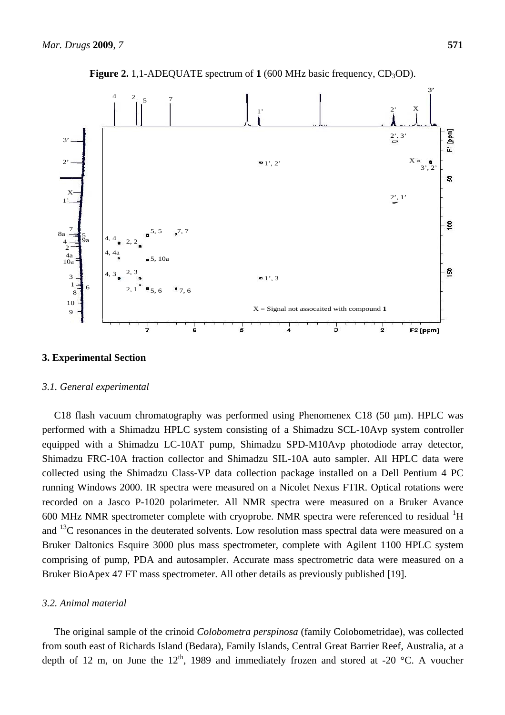

**Figure 2.** 1,1-ADEQUATE spectrum of  $1(600 \text{ MHz})$  basic frequency,  $CD_3OD$ ).

# **3. Experimental Section**

#### *3.1. General experimental*

C18 flash vacuum chromatography was performed using Phenomenex C18 (50 µm). HPLC was performed with a Shimadzu HPLC system consisting of a Shimadzu SCL-10Avp system controller equipped with a Shimadzu LC-10AT pump, Shimadzu SPD-M10Avp photodiode array detector, Shimadzu FRC-10A fraction collector and Shimadzu SIL-10A auto sampler. All HPLC data were collected using the Shimadzu Class-VP data collection package installed on a Dell Pentium 4 PC running Windows 2000. IR spectra were measured on a Nicolet Nexus FTIR. Optical rotations were recorded on a Jasco P-1020 polarimeter. All NMR spectra were measured on a Bruker Avance 600 MHz NMR spectrometer complete with cryoprobe. NMR spectra were referenced to residual  ${}^{1}H$ and <sup>13</sup>C resonances in the deuterated solvents. Low resolution mass spectral data were measured on a Bruker Daltonics Esquire 3000 plus mass spectrometer, complete with Agilent 1100 HPLC system comprising of pump, PDA and autosampler. Accurate mass spectrometric data were measured on a Bruker BioApex 47 FT mass spectrometer. All other details as previously published [19].

#### *3.2. Animal material*

The original sample of the crinoid *Colobometra perspinosa* (family Colobometridae), was collected from south east of Richards Island (Bedara), Family Islands, Central Great Barrier Reef, Australia, at a depth of 12 m, on June the  $12<sup>th</sup>$ , 1989 and immediately frozen and stored at -20 °C. A voucher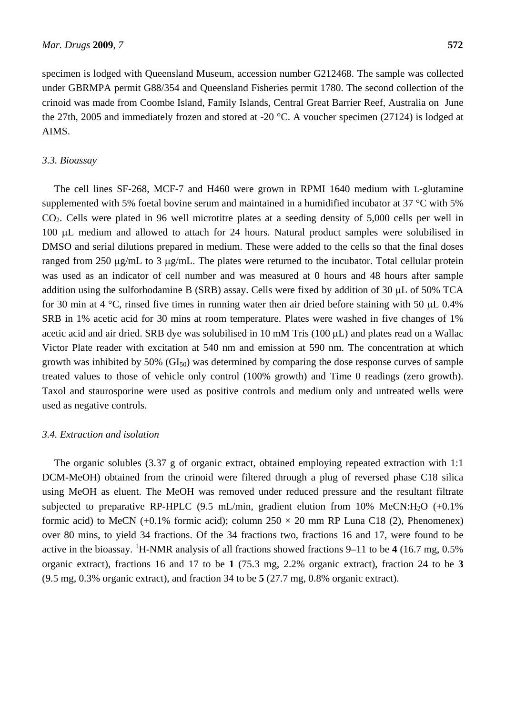specimen is lodged with Queensland Museum, accession number G212468. The sample was collected under GBRMPA permit G88/354 and Queensland Fisheries permit 1780. The second collection of the crinoid was made from Coombe Island, Family Islands, Central Great Barrier Reef, Australia on June the 27th, 2005 and immediately frozen and stored at -20 °C. A voucher specimen (27124) is lodged at AIMS.

#### *3.3. Bioassay*

The cell lines SF-268, MCF-7 and H460 were grown in RPMI 1640 medium with L-glutamine supplemented with 5% foetal bovine serum and maintained in a humidified incubator at 37 °C with 5% CO2. Cells were plated in 96 well microtitre plates at a seeding density of 5,000 cells per well in 100 µL medium and allowed to attach for 24 hours. Natural product samples were solubilised in DMSO and serial dilutions prepared in medium. These were added to the cells so that the final doses ranged from 250  $\mu$ g/mL to 3  $\mu$ g/mL. The plates were returned to the incubator. Total cellular protein was used as an indicator of cell number and was measured at 0 hours and 48 hours after sample addition using the sulforhodamine B (SRB) assay. Cells were fixed by addition of 30  $\mu$ L of 50% TCA for 30 min at 4  $\degree$ C, rinsed five times in running water then air dried before staining with 50 µL 0.4% SRB in 1% acetic acid for 30 mins at room temperature. Plates were washed in five changes of 1% acetic acid and air dried. SRB dye was solubilised in 10 mM Tris (100  $\mu$ L) and plates read on a Wallac Victor Plate reader with excitation at 540 nm and emission at 590 nm. The concentration at which growth was inhibited by 50% ( $GI_{50}$ ) was determined by comparing the dose response curves of sample treated values to those of vehicle only control (100% growth) and Time 0 readings (zero growth). Taxol and staurosporine were used as positive controls and medium only and untreated wells were used as negative controls.

#### *3.4. Extraction and isolation*

The organic solubles (3.37 g of organic extract, obtained employing repeated extraction with 1:1 DCM-MeOH) obtained from the crinoid were filtered through a plug of reversed phase C18 silica using MeOH as eluent. The MeOH was removed under reduced pressure and the resultant filtrate subjected to preparative RP-HPLC (9.5 mL/min, gradient elution from 10% MeCN:H<sub>2</sub>O  $(+0.1\%)$ formic acid) to MeCN (+0.1% formic acid); column  $250 \times 20$  mm RP Luna C18 (2), Phenomenex) over 80 mins, to yield 34 fractions. Of the 34 fractions two, fractions 16 and 17, were found to be active in the bioassay. <sup>1</sup>H-NMR analysis of all fractions showed fractions 9–11 to be 4 (16.7 mg, 0.5%) organic extract), fractions 16 and 17 to be **1** (75.3 mg, 2.2% organic extract), fraction 24 to be **3** (9.5 mg, 0.3% organic extract), and fraction 34 to be **5** (27.7 mg, 0.8% organic extract).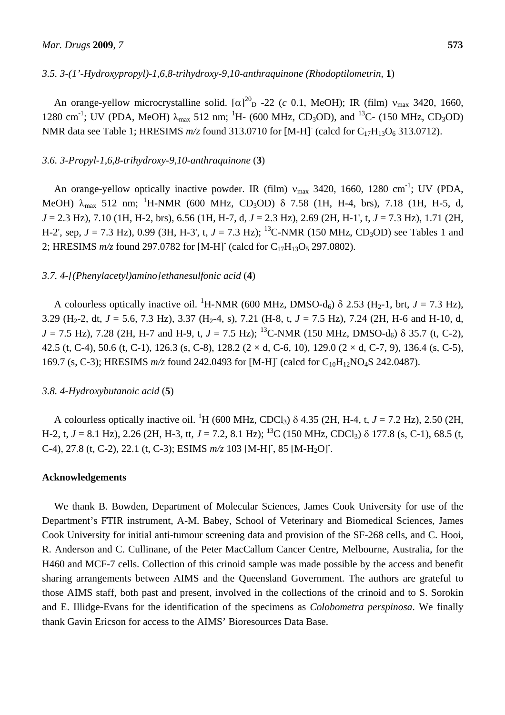## *3.5. 3-(1'-Hydroxypropyl)-1,6,8-trihydroxy-9,10-anthraquinone (Rhodoptilometrin,* **1**)

An orange-yellow microcrystalline solid.  $[\alpha]_{D}^{20}$  -22 (*c* 0.1, MeOH); IR (film)  $v_{max}$  3420, 1660, 1280 cm<sup>-1</sup>; UV (PDA, MeOH)  $\lambda_{\text{max}}$  512 nm; <sup>1</sup>H- (600 MHz, CD<sub>3</sub>OD), and <sup>13</sup>C- (150 MHz, CD<sub>3</sub>OD) NMR data see Table 1; HRESIMS  $m/z$  found 313.0710 for [M-H]<sup>-</sup> (calcd for C<sub>17</sub>H<sub>13</sub>O<sub>6</sub> 313.0712).

#### *3.6. 3-Propyl-1,6,8-trihydroxy-9,10-anthraquinone* (**3**)

An orange-yellow optically inactive powder. IR (film)  $v_{\text{max}}$  3420, 1660, 1280 cm<sup>-1</sup>; UV (PDA, MeOH)  $\lambda_{\text{max}}$  512 nm; <sup>1</sup>H-NMR (600 MHz, CD<sub>3</sub>OD)  $\delta$  7.58 (1H, H-4, brs), 7.18 (1H, H-5, d, *J* = 2.3 Hz), 7.10 (1H, H-2, brs), 6.56 (1H, H-7, d, *J* = 2.3 Hz), 2.69 (2H, H-1', t, *J* = 7.3 Hz), 1.71 (2H, H-2', sep,  $J = 7.3$  Hz), 0.99 (3H, H-3', t,  $J = 7.3$  Hz); <sup>13</sup>C-NMR (150 MHz, CD<sub>3</sub>OD) see Tables 1 and 2; HRESIMS  $m/z$  found 297.0782 for [M-H]<sup>-</sup> (calcd for C<sub>17</sub>H<sub>13</sub>O<sub>5</sub> 297.0802).

## *3.7. 4-[(Phenylacetyl)amino]ethanesulfonic acid* (**4**)

A colourless optically inactive oil. <sup>1</sup>H-NMR (600 MHz, DMSO-d<sub>6</sub>)  $\delta$  2.53 (H<sub>2</sub>-1, brt, *J* = 7.3 Hz), 3.29 (H<sub>2</sub>-2, dt,  $J = 5.6$ , 7.3 Hz), 3.37 (H<sub>2</sub>-4, s), 7.21 (H-8, t,  $J = 7.5$  Hz), 7.24 (2H, H-6 and H-10, d,  $J = 7.5$  Hz), 7.28 (2H, H-7 and H-9, t,  $J = 7.5$  Hz); <sup>13</sup>C-NMR (150 MHz, DMSO-d<sub>6</sub>)  $\delta$  35.7 (t, C-2), 42.5 (t, C-4), 50.6 (t, C-1), 126.3 (s, C-8), 128.2 ( $2 \times d$ , C-6, 10), 129.0 ( $2 \times d$ , C-7, 9), 136.4 (s, C-5), 169.7 (s, C-3); HRESIMS  $m/z$  found 242.0493 for [M-H]<sup>-</sup> (calcd for C<sub>10</sub>H<sub>12</sub>NO<sub>4</sub>S 242.0487).

#### *3.8. 4-Hydroxybutanoic acid* (**5**)

A colourless optically inactive oil. <sup>1</sup>H (600 MHz, CDCl<sub>3</sub>)  $\delta$  4.35 (2H, H-4, t, *J* = 7.2 Hz), 2.50 (2H, H-2, t,  $J = 8.1$  Hz), 2.26 (2H, H-3, tt,  $J = 7.2$ , 8.1 Hz); <sup>13</sup>C (150 MHz, CDCl<sub>3</sub>)  $\delta$  177.8 (s, C-1), 68.5 (t, C-4), 27.8 (t, C-2), 22.1 (t, C-3); ESIMS  $m/z$  103 [M-H]<sup>-</sup>, 85 [M-H<sub>2</sub>O]<sup>-</sup>.

#### **Acknowledgements**

We thank B. Bowden, Department of Molecular Sciences, James Cook University for use of the Department's FTIR instrument, A-M. Babey, School of Veterinary and Biomedical Sciences, James Cook University for initial anti-tumour screening data and provision of the SF-268 cells, and C. Hooi, R. Anderson and C. Cullinane, of the Peter MacCallum Cancer Centre, Melbourne, Australia, for the H460 and MCF-7 cells. Collection of this crinoid sample was made possible by the access and benefit sharing arrangements between AIMS and the Queensland Government. The authors are grateful to those AIMS staff, both past and present, involved in the collections of the crinoid and to S. Sorokin and E. Illidge-Evans for the identification of the specimens as *Colobometra perspinosa*. We finally thank Gavin Ericson for access to the AIMS' Bioresources Data Base.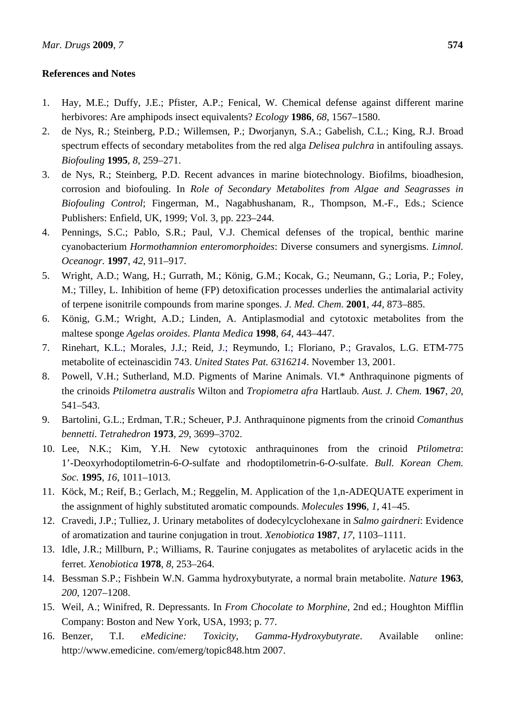## **References and Notes**

- 1. Hay, M.E.; Duffy, J.E.; Pfister, A.P.; Fenical, W. Chemical defense against different marine herbivores: Are amphipods insect equivalents? *Ecology* **1986**, *68*, 1567–1580.
- 2. de Nys, R.; Steinberg, P.D.; Willemsen, P.; Dworjanyn, S.A.; Gabelish, C.L.; King, R.J. Broad spectrum effects of secondary metabolites from the red alga *Delisea pulchra* in antifouling assays. *Biofouling* **1995**, *8*, 259–271.
- 3. de Nys, R.; Steinberg, P.D. Recent advances in marine biotechnology. Biofilms, bioadhesion, corrosion and biofouling. In *Role of Secondary Metabolites from Algae and Seagrasses in Biofouling Control*; Fingerman, M., Nagabhushanam, R., Thompson, M.-F., Eds.; Science Publishers: Enfield, UK, 1999; Vol. 3, pp. 223–244.
- 4. Pennings, S.C.; Pablo, S.R.; Paul, V.J. Chemical defenses of the tropical, benthic marine cyanobacterium *Hormothamnion enteromorphoides*: Diverse consumers and synergisms. *Limnol. Oceanogr.* **1997**, *42*, 911–917.
- 5. Wright, A.D.; Wang, H.; Gurrath, M.; König, G.M.; Kocak, G.; Neumann, G.; Loria, P.; Foley, M.; Tilley, L. Inhibition of heme (FP) detoxification processes underlies the antimalarial activity of terpene isonitrile compounds from marine sponges. *J. Med. Chem*. **2001**, *44*, 873–885.
- 6. König, G.M.; Wright, A.D.; Linden, A. Antiplasmodial and cytotoxic metabolites from the maltese sponge *Agelas oroides*. *Planta Medica* **1998**, *64*, 443–447.
- 7. Rinehart, K.L.; Morales, J.J.; Reid, J.; Reymundo, I.; Floriano, P.; Gravalos, L.G. ETM-775 metabolite of ecteinascidin 743. *United States Pat. 6316214*. November 13, 2001.
- 8. Powell, V.H.; Sutherland, M.D. Pigments of Marine Animals. VI.\* Anthraquinone pigments of the crinoids *Ptilometra australis* Wilton and *Tropiometra afra* Hartlaub. *Aust. J. Chem.* **1967**, *20*, 541–543.
- 9. Bartolini, G.L.; Erdman, T.R.; Scheuer, P.J. Anthraquinone pigments from the crinoid *Comanthus bennetti*. *Tetrahedron* **1973**, *29*, 3699–3702.
- 10. Lee, N.K.; Kim, Y.H. New cytotoxic anthraquinones from the crinoid *Ptilometra*: 1'-Deoxyrhodoptilometrin-6-*O*-sulfate and rhodoptilometrin-6-*O*-sulfate. *Bull. Korean Chem. Soc.* **1995**, *16*, 1011–1013.
- 11. Köck, M.; Reif, B.; Gerlach, M.; Reggelin, M. Application of the 1,n-ADEQUATE experiment in the assignment of highly substituted aromatic compounds. *Molecules* **1996**, *1*, 41–45.
- 12. Cravedi, J.P.; Tulliez, J. Urinary metabolites of dodecylcyclohexane in *Salmo gairdneri*: Evidence of aromatization and taurine conjugation in trout. *Xenobiotica* **1987**, *17*, 1103–1111.
- 13. Idle, J.R.; Millburn, P.; Williams, R. Taurine conjugates as metabolites of arylacetic acids in the ferret. *Xenobiotica* **1978**, *8*, 253–264.
- 14. Bessman S.P.; Fishbein W.N. Gamma hydroxybutyrate, a normal brain metabolite. *Nature* **1963**, *200*, 1207–1208.
- 15. Weil, A.; Winifred, R. Depressants. In *From Chocolate to Morphine*, 2nd ed.; Houghton Mifflin Company: Boston and New York, USA, 1993; p. 77.
- 16. Benzer, T.I. *eMedicine: Toxicity, Gamma-Hydroxybutyrate*. Available online: http://www.emedicine. com/emerg/topic848.htm 2007.